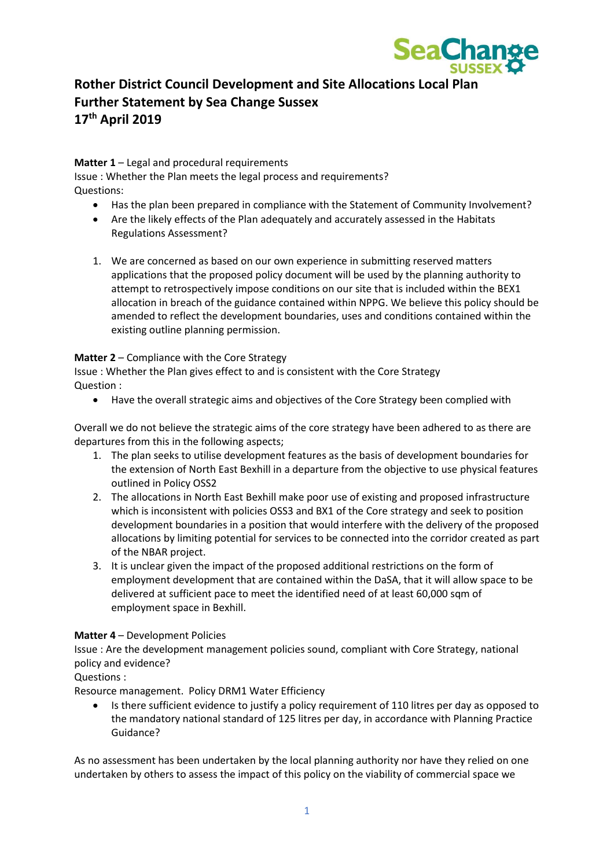

# **Rother District Council Development and Site Allocations Local Plan Further Statement by Sea Change Sussex 17th April 2019**

**Matter 1** – Legal and procedural requirements

Issue : Whether the Plan meets the legal process and requirements? Questions:

- Has the plan been prepared in compliance with the Statement of Community Involvement?
- Are the likely effects of the Plan adequately and accurately assessed in the Habitats Regulations Assessment?
- 1. We are concerned as based on our own experience in submitting reserved matters applications that the proposed policy document will be used by the planning authority to attempt to retrospectively impose conditions on our site that is included within the BEX1 allocation in breach of the guidance contained within NPPG. We believe this policy should be amended to reflect the development boundaries, uses and conditions contained within the existing outline planning permission.

## **Matter 2** – Compliance with the Core Strategy

Issue : Whether the Plan gives effect to and is consistent with the Core Strategy Question :

• Have the overall strategic aims and objectives of the Core Strategy been complied with

Overall we do not believe the strategic aims of the core strategy have been adhered to as there are departures from this in the following aspects;

- 1. The plan seeks to utilise development features as the basis of development boundaries for the extension of North East Bexhill in a departure from the objective to use physical features outlined in Policy OSS2
- 2. The allocations in North East Bexhill make poor use of existing and proposed infrastructure which is inconsistent with policies OSS3 and BX1 of the Core strategy and seek to position development boundaries in a position that would interfere with the delivery of the proposed allocations by limiting potential for services to be connected into the corridor created as part of the NBAR project.
- 3. It is unclear given the impact of the proposed additional restrictions on the form of employment development that are contained within the DaSA, that it will allow space to be delivered at sufficient pace to meet the identified need of at least 60,000 sqm of employment space in Bexhill.

## **Matter 4** – Development Policies

Issue : Are the development management policies sound, compliant with Core Strategy, national policy and evidence?

## Questions :

Resource management. Policy DRM1 Water Efficiency

• Is there sufficient evidence to justify a policy requirement of 110 litres per day as opposed to the mandatory national standard of 125 litres per day, in accordance with Planning Practice Guidance?

As no assessment has been undertaken by the local planning authority nor have they relied on one undertaken by others to assess the impact of this policy on the viability of commercial space we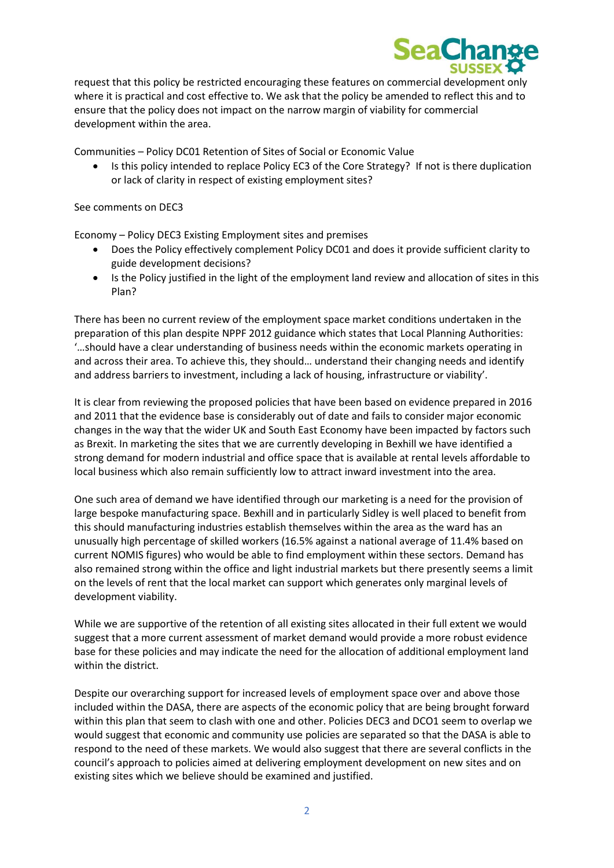

request that this policy be restricted encouraging these features on commercial development only where it is practical and cost effective to. We ask that the policy be amended to reflect this and to ensure that the policy does not impact on the narrow margin of viability for commercial development within the area.

Communities – Policy DC01 Retention of Sites of Social or Economic Value

• Is this policy intended to replace Policy EC3 of the Core Strategy? If not is there duplication or lack of clarity in respect of existing employment sites?

#### See comments on DEC3

Economy – Policy DEC3 Existing Employment sites and premises

- Does the Policy effectively complement Policy DC01 and does it provide sufficient clarity to guide development decisions?
- Is the Policy justified in the light of the employment land review and allocation of sites in this Plan?

There has been no current review of the employment space market conditions undertaken in the preparation of this plan despite NPPF 2012 guidance which states that Local Planning Authorities: '…should have a clear understanding of business needs within the economic markets operating in and across their area. To achieve this, they should… understand their changing needs and identify and address barriers to investment, including a lack of housing, infrastructure or viability'.

It is clear from reviewing the proposed policies that have been based on evidence prepared in 2016 and 2011 that the evidence base is considerably out of date and fails to consider major economic changes in the way that the wider UK and South East Economy have been impacted by factors such as Brexit. In marketing the sites that we are currently developing in Bexhill we have identified a strong demand for modern industrial and office space that is available at rental levels affordable to local business which also remain sufficiently low to attract inward investment into the area.

One such area of demand we have identified through our marketing is a need for the provision of large bespoke manufacturing space. Bexhill and in particularly Sidley is well placed to benefit from this should manufacturing industries establish themselves within the area as the ward has an unusually high percentage of skilled workers (16.5% against a national average of 11.4% based on current NOMIS figures) who would be able to find employment within these sectors. Demand has also remained strong within the office and light industrial markets but there presently seems a limit on the levels of rent that the local market can support which generates only marginal levels of development viability.

While we are supportive of the retention of all existing sites allocated in their full extent we would suggest that a more current assessment of market demand would provide a more robust evidence base for these policies and may indicate the need for the allocation of additional employment land within the district.

Despite our overarching support for increased levels of employment space over and above those included within the DASA, there are aspects of the economic policy that are being brought forward within this plan that seem to clash with one and other. Policies DEC3 and DCO1 seem to overlap we would suggest that economic and community use policies are separated so that the DASA is able to respond to the need of these markets. We would also suggest that there are several conflicts in the council's approach to policies aimed at delivering employment development on new sites and on existing sites which we believe should be examined and justified.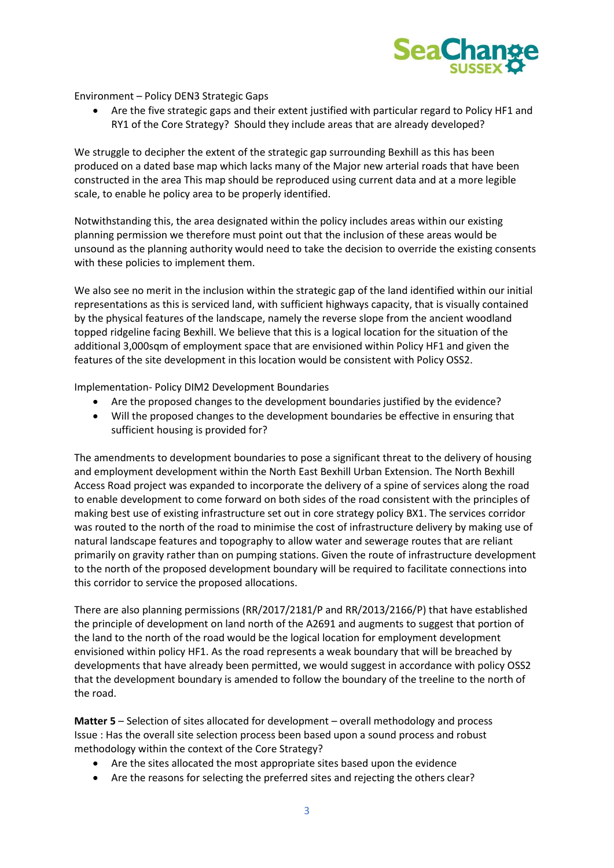

Environment – Policy DEN3 Strategic Gaps

• Are the five strategic gaps and their extent justified with particular regard to Policy HF1 and RY1 of the Core Strategy? Should they include areas that are already developed?

We struggle to decipher the extent of the strategic gap surrounding Bexhill as this has been produced on a dated base map which lacks many of the Major new arterial roads that have been constructed in the area This map should be reproduced using current data and at a more legible scale, to enable he policy area to be properly identified.

Notwithstanding this, the area designated within the policy includes areas within our existing planning permission we therefore must point out that the inclusion of these areas would be unsound as the planning authority would need to take the decision to override the existing consents with these policies to implement them.

We also see no merit in the inclusion within the strategic gap of the land identified within our initial representations as this is serviced land, with sufficient highways capacity, that is visually contained by the physical features of the landscape, namely the reverse slope from the ancient woodland topped ridgeline facing Bexhill. We believe that this is a logical location for the situation of the additional 3,000sqm of employment space that are envisioned within Policy HF1 and given the features of the site development in this location would be consistent with Policy OSS2.

Implementation- Policy DIM2 Development Boundaries

- Are the proposed changes to the development boundaries justified by the evidence?
- Will the proposed changes to the development boundaries be effective in ensuring that sufficient housing is provided for?

The amendments to development boundaries to pose a significant threat to the delivery of housing and employment development within the North East Bexhill Urban Extension. The North Bexhill Access Road project was expanded to incorporate the delivery of a spine of services along the road to enable development to come forward on both sides of the road consistent with the principles of making best use of existing infrastructure set out in core strategy policy BX1. The services corridor was routed to the north of the road to minimise the cost of infrastructure delivery by making use of natural landscape features and topography to allow water and sewerage routes that are reliant primarily on gravity rather than on pumping stations. Given the route of infrastructure development to the north of the proposed development boundary will be required to facilitate connections into this corridor to service the proposed allocations.

There are also planning permissions (RR/2017/2181/P and RR/2013/2166/P) that have established the principle of development on land north of the A2691 and augments to suggest that portion of the land to the north of the road would be the logical location for employment development envisioned within policy HF1. As the road represents a weak boundary that will be breached by developments that have already been permitted, we would suggest in accordance with policy OSS2 that the development boundary is amended to follow the boundary of the treeline to the north of the road.

**Matter 5** – Selection of sites allocated for development – overall methodology and process Issue : Has the overall site selection process been based upon a sound process and robust methodology within the context of the Core Strategy?

- Are the sites allocated the most appropriate sites based upon the evidence
- Are the reasons for selecting the preferred sites and rejecting the others clear?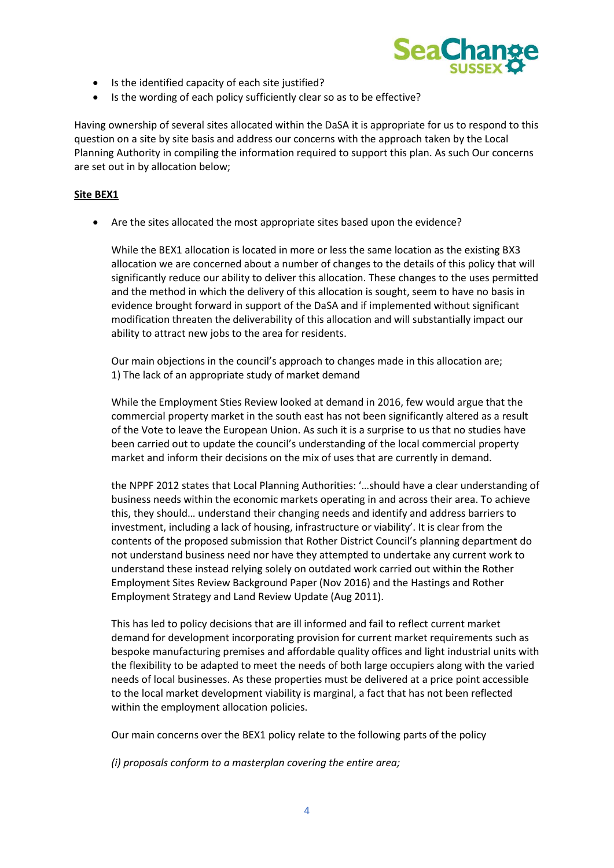

- Is the identified capacity of each site justified?
- Is the wording of each policy sufficiently clear so as to be effective?

Having ownership of several sites allocated within the DaSA it is appropriate for us to respond to this question on a site by site basis and address our concerns with the approach taken by the Local Planning Authority in compiling the information required to support this plan. As such Our concerns are set out in by allocation below;

#### **Site BEX1**

• Are the sites allocated the most appropriate sites based upon the evidence?

While the BEX1 allocation is located in more or less the same location as the existing BX3 allocation we are concerned about a number of changes to the details of this policy that will significantly reduce our ability to deliver this allocation. These changes to the uses permitted and the method in which the delivery of this allocation is sought, seem to have no basis in evidence brought forward in support of the DaSA and if implemented without significant modification threaten the deliverability of this allocation and will substantially impact our ability to attract new jobs to the area for residents.

Our main objections in the council's approach to changes made in this allocation are; 1) The lack of an appropriate study of market demand

While the Employment Sties Review looked at demand in 2016, few would argue that the commercial property market in the south east has not been significantly altered as a result of the Vote to leave the European Union. As such it is a surprise to us that no studies have been carried out to update the council's understanding of the local commercial property market and inform their decisions on the mix of uses that are currently in demand.

the NPPF 2012 states that Local Planning Authorities: '…should have a clear understanding of business needs within the economic markets operating in and across their area. To achieve this, they should… understand their changing needs and identify and address barriers to investment, including a lack of housing, infrastructure or viability'. It is clear from the contents of the proposed submission that Rother District Council's planning department do not understand business need nor have they attempted to undertake any current work to understand these instead relying solely on outdated work carried out within the Rother Employment Sites Review Background Paper (Nov 2016) and the Hastings and Rother Employment Strategy and Land Review Update (Aug 2011).

This has led to policy decisions that are ill informed and fail to reflect current market demand for development incorporating provision for current market requirements such as bespoke manufacturing premises and affordable quality offices and light industrial units with the flexibility to be adapted to meet the needs of both large occupiers along with the varied needs of local businesses. As these properties must be delivered at a price point accessible to the local market development viability is marginal, a fact that has not been reflected within the employment allocation policies.

Our main concerns over the BEX1 policy relate to the following parts of the policy

*(i) proposals conform to a masterplan covering the entire area;*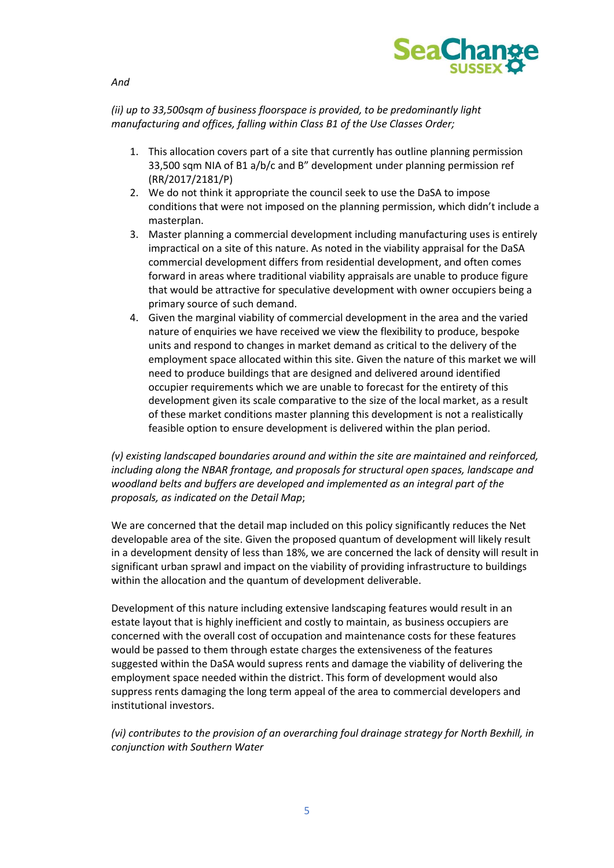

*And* 

# *(ii) up to 33,500sqm of business floorspace is provided, to be predominantly light manufacturing and offices, falling within Class B1 of the Use Classes Order;*

- 1. This allocation covers part of a site that currently has outline planning permission 33,500 sqm NIA of B1 a/b/c and B" development under planning permission ref (RR/2017/2181/P)
- 2. We do not think it appropriate the council seek to use the DaSA to impose conditions that were not imposed on the planning permission, which didn't include a masterplan.
- 3. Master planning a commercial development including manufacturing uses is entirely impractical on a site of this nature. As noted in the viability appraisal for the DaSA commercial development differs from residential development, and often comes forward in areas where traditional viability appraisals are unable to produce figure that would be attractive for speculative development with owner occupiers being a primary source of such demand.
- 4. Given the marginal viability of commercial development in the area and the varied nature of enquiries we have received we view the flexibility to produce, bespoke units and respond to changes in market demand as critical to the delivery of the employment space allocated within this site. Given the nature of this market we will need to produce buildings that are designed and delivered around identified occupier requirements which we are unable to forecast for the entirety of this development given its scale comparative to the size of the local market, as a result of these market conditions master planning this development is not a realistically feasible option to ensure development is delivered within the plan period.

*(v) existing landscaped boundaries around and within the site are maintained and reinforced, including along the NBAR frontage, and proposals for structural open spaces, landscape and woodland belts and buffers are developed and implemented as an integral part of the proposals, as indicated on the Detail Map*;

We are concerned that the detail map included on this policy significantly reduces the Net developable area of the site. Given the proposed quantum of development will likely result in a development density of less than 18%, we are concerned the lack of density will result in significant urban sprawl and impact on the viability of providing infrastructure to buildings within the allocation and the quantum of development deliverable.

Development of this nature including extensive landscaping features would result in an estate layout that is highly inefficient and costly to maintain, as business occupiers are concerned with the overall cost of occupation and maintenance costs for these features would be passed to them through estate charges the extensiveness of the features suggested within the DaSA would supress rents and damage the viability of delivering the employment space needed within the district. This form of development would also suppress rents damaging the long term appeal of the area to commercial developers and institutional investors.

*(vi) contributes to the provision of an overarching foul drainage strategy for North Bexhill, in conjunction with Southern Water*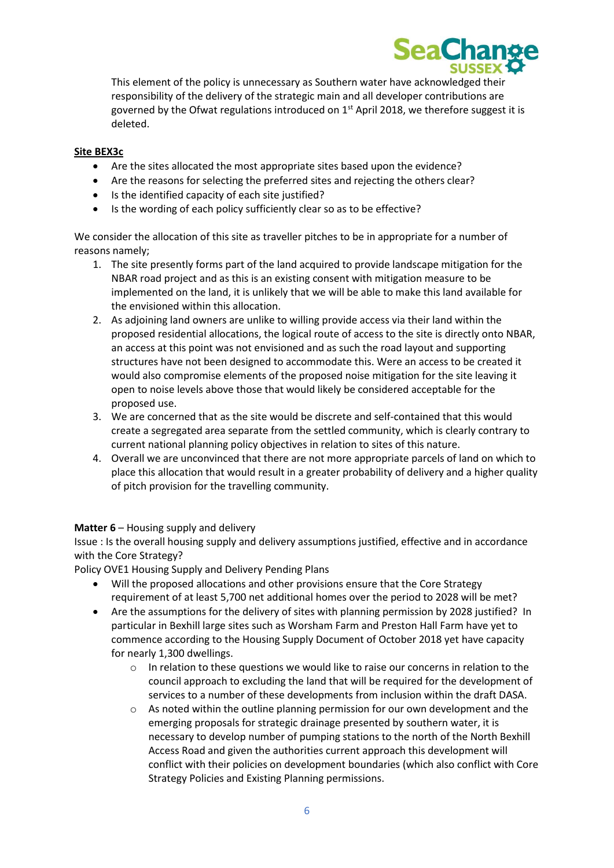

This element of the policy is unnecessary as Southern water have acknowledged their responsibility of the delivery of the strategic main and all developer contributions are governed by the Ofwat regulations introduced on  $1<sup>st</sup>$  April 2018, we therefore suggest it is deleted.

## **Site BEX3c**

- Are the sites allocated the most appropriate sites based upon the evidence?
- Are the reasons for selecting the preferred sites and rejecting the others clear?
- Is the identified capacity of each site justified?
- Is the wording of each policy sufficiently clear so as to be effective?

We consider the allocation of this site as traveller pitches to be in appropriate for a number of reasons namely;

- 1. The site presently forms part of the land acquired to provide landscape mitigation for the NBAR road project and as this is an existing consent with mitigation measure to be implemented on the land, it is unlikely that we will be able to make this land available for the envisioned within this allocation.
- 2. As adjoining land owners are unlike to willing provide access via their land within the proposed residential allocations, the logical route of access to the site is directly onto NBAR, an access at this point was not envisioned and as such the road layout and supporting structures have not been designed to accommodate this. Were an access to be created it would also compromise elements of the proposed noise mitigation for the site leaving it open to noise levels above those that would likely be considered acceptable for the proposed use.
- 3. We are concerned that as the site would be discrete and self-contained that this would create a segregated area separate from the settled community, which is clearly contrary to current national planning policy objectives in relation to sites of this nature.
- 4. Overall we are unconvinced that there are not more appropriate parcels of land on which to place this allocation that would result in a greater probability of delivery and a higher quality of pitch provision for the travelling community.

### **Matter 6** – Housing supply and delivery

Issue : Is the overall housing supply and delivery assumptions justified, effective and in accordance with the Core Strategy?

Policy OVE1 Housing Supply and Delivery Pending Plans

- Will the proposed allocations and other provisions ensure that the Core Strategy requirement of at least 5,700 net additional homes over the period to 2028 will be met?
- Are the assumptions for the delivery of sites with planning permission by 2028 justified? In particular in Bexhill large sites such as Worsham Farm and Preston Hall Farm have yet to commence according to the Housing Supply Document of October 2018 yet have capacity for nearly 1,300 dwellings.
	- o In relation to these questions we would like to raise our concerns in relation to the council approach to excluding the land that will be required for the development of services to a number of these developments from inclusion within the draft DASA.
	- $\circ$  As noted within the outline planning permission for our own development and the emerging proposals for strategic drainage presented by southern water, it is necessary to develop number of pumping stations to the north of the North Bexhill Access Road and given the authorities current approach this development will conflict with their policies on development boundaries (which also conflict with Core Strategy Policies and Existing Planning permissions.